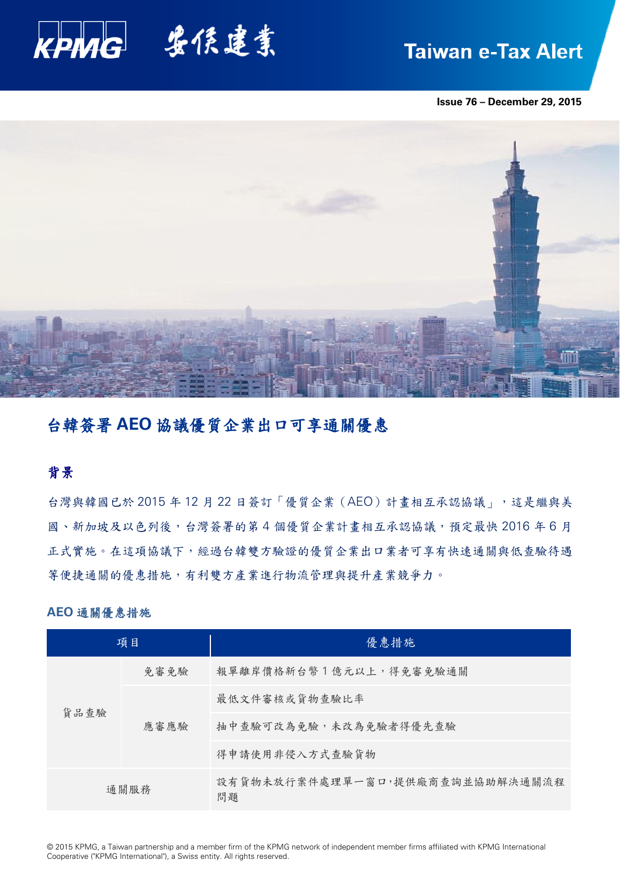

# **Taiwan e-Tax Alert**

**Issue 76 – December 29, 2015**



## 台韓簽署 **AEO** 協議優質企業出口可享通關優惠

## 背景

台灣與韓國已於 2015年12月 22日簽訂「優質企業 (AEO)計畫相互承認協議」,這是繼與美 國、新加坡及以色列後,台灣簽署的第4個優質企業計畫相互承認協議,預定最快 2016年6月 正式實施。在這項協議下,經過台韓雙方驗證的優質企業出口業者可享有快速通關與低查驗待遇 等便捷通關的優惠措施,有利雙方產業進行物流管理與提升產業競爭力。

## **AEO** 通關優惠措施

| 項目   |      | 優惠措施                                  |
|------|------|---------------------------------------|
| 貨品查驗 | 免審免驗 | 報單離岸價格新台幣1億元以上,得免審免驗通關                |
|      | 應審應驗 | 最低文件審核或貨物查驗比率                         |
|      |      | 抽中查驗可改為免驗,未改為免驗者得優先查驗                 |
|      |      | 得申請使用非侵入方式查驗貨物                        |
| 通關服務 |      | 設有貨物未放行案件處理單一窗口,提供廠商查詢並協助解決通關流程<br>問題 |

© 2015 KPMG, a Taiwan partnership and a member firm of the KPMG network of independent member firms affiliated with KPMG International Cooperative ("KPMG International"), a Swiss entity. All rights reserved.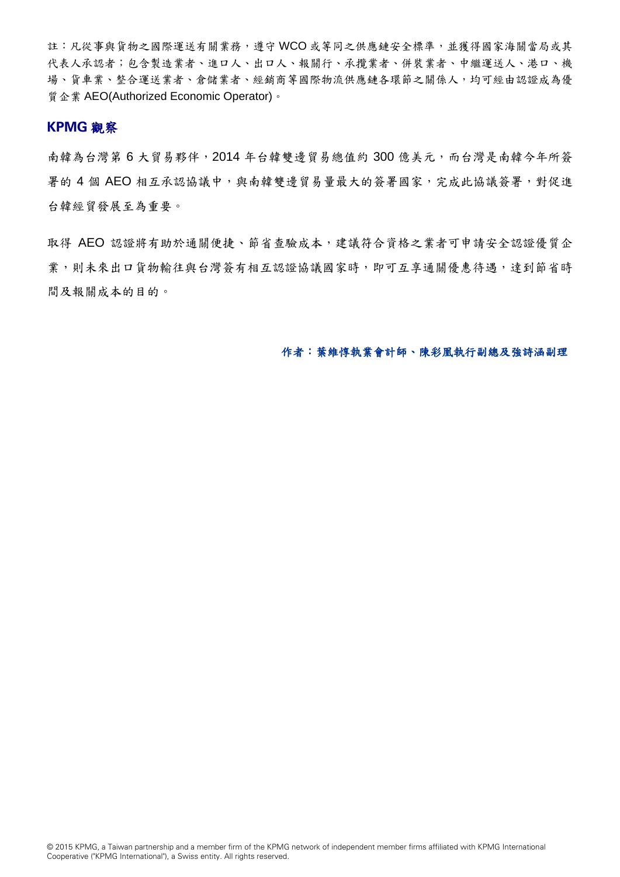註:凡從事與貨物之國際運送有關業務,遵守WCO 或等同之供應鏈安全標準,並獲得國家海關當局或其 代表人承認者;包含製造業者、進口人、出口人、報關行、承攬業者、併裝業者、中繼運送人、港口、機 場、貨車業、整合運送業者、倉儲業者、經銷商等國際物流供應鏈各環節之關係人,均可經由認證成為優 質企業 AEO(Authorized Economic Operator)。

## **KPMG** 觀察

南韓為台灣第 6 大貿易夥伴, 2014 年台韓雙邊貿易總值約 300 億美元,而台灣是南韓今年所簽 署的 4 個 AEO 相互承認協議中,與南韓雙邊貿易量最大的簽署國家,完成此協議簽署,對促進 台韓經貿發展至為重要。

取得 AEO 認證將有助於通關便捷、節省查驗成本,建議符合資格之業者可申請安全認證優質企 業,則未來出口貨物輸往與台灣簽有相互認證協議國家時,即可互享通關優惠待遇,達到節省時 間及報關成本的目的。

## 作者:葉維惇執業會計師、陳彩凰執行副總及強詩涵副理